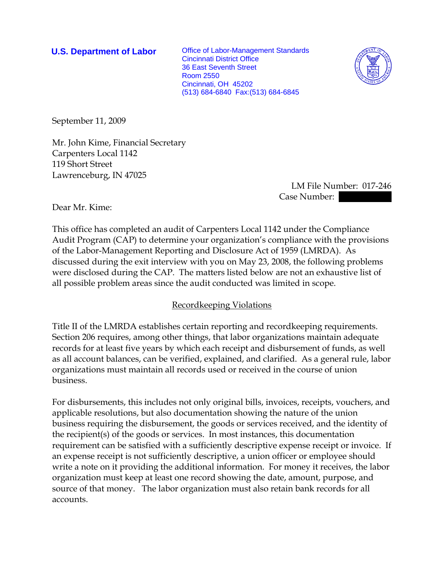**U.S. Department of Labor** Office of Labor-Management Standards Cincinnati District Office 36 East Seventh Street Room 2550 Cincinnati, OH 45202 (513) 684-6840 Fax:(513) 684-6845



September 11, 2009

Mr. John Kime, Financial Secretary Carpenters Local 1142 119 Short Street Lawrenceburg, IN 47025

 LM File Number: 017-246 Case Number:  $\blacksquare$ 

Dear Mr. Kime:

This office has completed an audit of Carpenters Local 1142 under the Compliance Audit Program (CAP) to determine your organization's compliance with the provisions of the Labor-Management Reporting and Disclosure Act of 1959 (LMRDA). As discussed during the exit interview with you on May 23, 2008, the following problems were disclosed during the CAP. The matters listed below are not an exhaustive list of all possible problem areas since the audit conducted was limited in scope.

# Recordkeeping Violations

Title II of the LMRDA establishes certain reporting and recordkeeping requirements. Section 206 requires, among other things, that labor organizations maintain adequate records for at least five years by which each receipt and disbursement of funds, as well as all account balances, can be verified, explained, and clarified. As a general rule, labor organizations must maintain all records used or received in the course of union business.

For disbursements, this includes not only original bills, invoices, receipts, vouchers, and applicable resolutions, but also documentation showing the nature of the union business requiring the disbursement, the goods or services received, and the identity of the recipient(s) of the goods or services. In most instances, this documentation requirement can be satisfied with a sufficiently descriptive expense receipt or invoice. If an expense receipt is not sufficiently descriptive, a union officer or employee should write a note on it providing the additional information. For money it receives, the labor organization must keep at least one record showing the date, amount, purpose, and source of that money. The labor organization must also retain bank records for all accounts.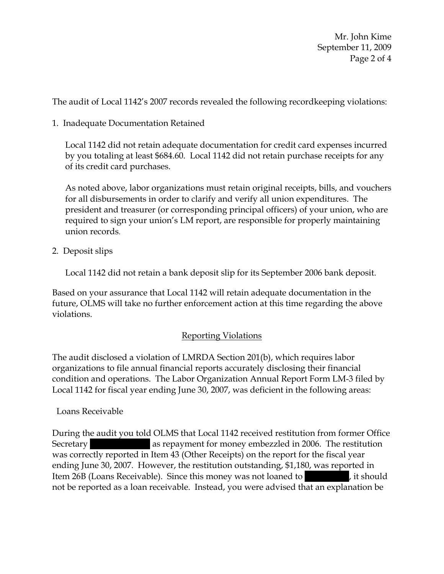Mr. John Kime September 11, 2009 Page 2 of 4

The audit of Local 1142's 2007 records revealed the following recordkeeping violations:

1. Inadequate Documentation Retained

Local 1142 did not retain adequate documentation for credit card expenses incurred by you totaling at least \$684.60. Local 1142 did not retain purchase receipts for any of its credit card purchases.

As noted above, labor organizations must retain original receipts, bills, and vouchers for all disbursements in order to clarify and verify all union expenditures. The president and treasurer (or corresponding principal officers) of your union, who are required to sign your union's LM report, are responsible for properly maintaining union records.

2. Deposit slips

Local 1142 did not retain a bank deposit slip for its September 2006 bank deposit.

Based on your assurance that Local 1142 will retain adequate documentation in the future, OLMS will take no further enforcement action at this time regarding the above violations.

# Reporting Violations

The audit disclosed a violation of LMRDA Section 201(b), which requires labor organizations to file annual financial reports accurately disclosing their financial condition and operations. The Labor Organization Annual Report Form LM-3 filed by Local 1142 for fiscal year ending June 30, 2007, was deficient in the following areas:

### Loans Receivable

During the audit you told OLMS that Local 1142 received restitution from former Office Secretary **Example 2018** as repayment for money embezzled in 2006. The restitution was correctly reported in Item 43 (Other Receipts) on the report for the fiscal year ending June 30, 2007. However, the restitution outstanding, \$1,180, was reported in Item 26B (Loans Receivable). Since this money was not loaned to **inclust 1.** it should not be reported as a loan receivable. Instead, you were advised that an explanation be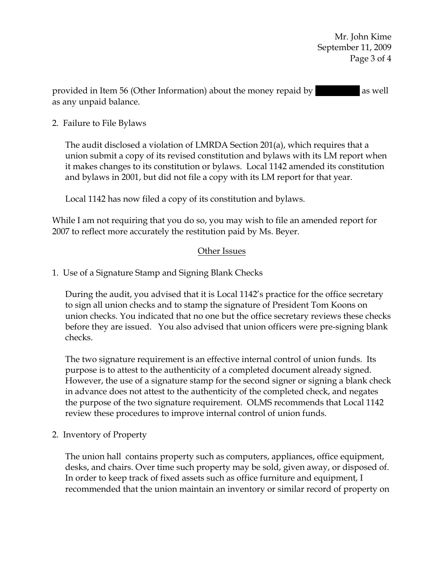Mr. John Kime September 11, 2009 Page 3 of 4

provided in Item 56 (Other Information) about the money repaid by as well as any unpaid balance.

## 2. Failure to File Bylaws

The audit disclosed a violation of LMRDA Section 201(a), which requires that a union submit a copy of its revised constitution and bylaws with its LM report when it makes changes to its constitution or bylaws. Local 1142 amended its constitution and bylaws in 2001, but did not file a copy with its LM report for that year.

Local 1142 has now filed a copy of its constitution and bylaws.

While I am not requiring that you do so, you may wish to file an amended report for 2007 to reflect more accurately the restitution paid by Ms. Beyer.

#### Other Issues

1. Use of a Signature Stamp and Signing Blank Checks

During the audit, you advised that it is Local 1142's practice for the office secretary to sign all union checks and to stamp the signature of President Tom Koons on union checks. You indicated that no one but the office secretary reviews these checks before they are issued. You also advised that union officers were pre-signing blank checks.

The two signature requirement is an effective internal control of union funds. Its purpose is to attest to the authenticity of a completed document already signed. However, the use of a signature stamp for the second signer or signing a blank check in advance does not attest to the authenticity of the completed check, and negates the purpose of the two signature requirement. OLMS recommends that Local 1142 review these procedures to improve internal control of union funds.

2. Inventory of Property

The union hall contains property such as computers, appliances, office equipment, desks, and chairs. Over time such property may be sold, given away, or disposed of. In order to keep track of fixed assets such as office furniture and equipment, I recommended that the union maintain an inventory or similar record of property on